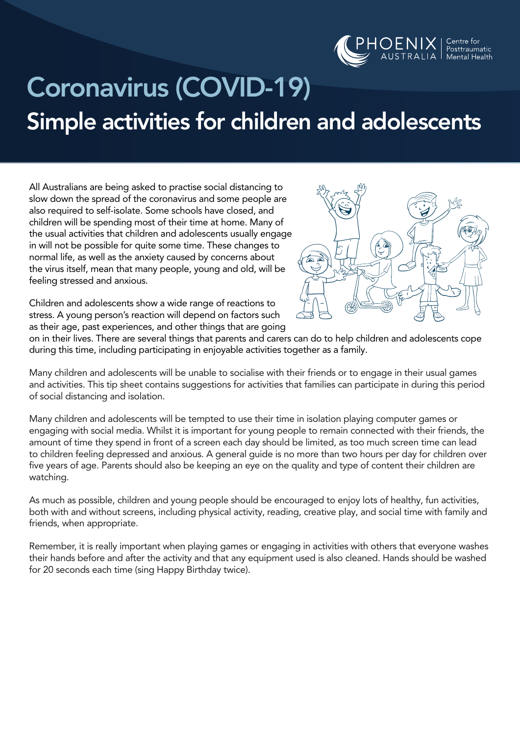

# Coronavirus (COVID-19) Simple activities for children and adolescents

All Australians are being asked to practise social distancing to slow down the spread of the coronavirus and some people are also required to self-isolate. Some schools have closed, and children will be spending most of their time at home. Many of the usual activities that children and adolescents usually engage in will not be possible for quite some time. These changes to normal life, as well as the anxiety caused by concerns about the virus itself, mean that many people, young and old, will be feeling stressed and anxious.



Children and adolescents show a wide range of reactions to stress. A young person's reaction will depend on factors such as their age, past experiences, and other things that are going

on in their lives. There are several things that parents and carers can do to help children and adolescents cope during this time, including participating in enjoyable activities together as a family.

Many children and adolescents will be unable to socialise with their friends or to engage in their usual games and activities. This tip sheet contains suggestions for activities that families can participate in during this period of social distancing and isolation.

Many children and adolescents will be tempted to use their time in isolation playing computer games or engaging with social media. Whilst it is important for young people to remain connected with their friends, the amount of time they spend in front of a screen each day should be limited, as too much screen time can lead to children feeling depressed and anxious. A general guide is no more than two hours per day for children over five years of age. Parents should also be keeping an eye on the quality and type of content their children are watching.

As much as possible, children and young people should be encouraged to enjoy lots of healthy, fun activities, both with and without screens, including physical activity, reading, creative play, and social time with family and friends, when appropriate.

Remember, it is really important when playing games or engaging in activities with others that everyone washes their hands before and after the activity and that any equipment used is also cleaned. Hands should be washed for 20 seconds each time (sing Happy Birthday twice).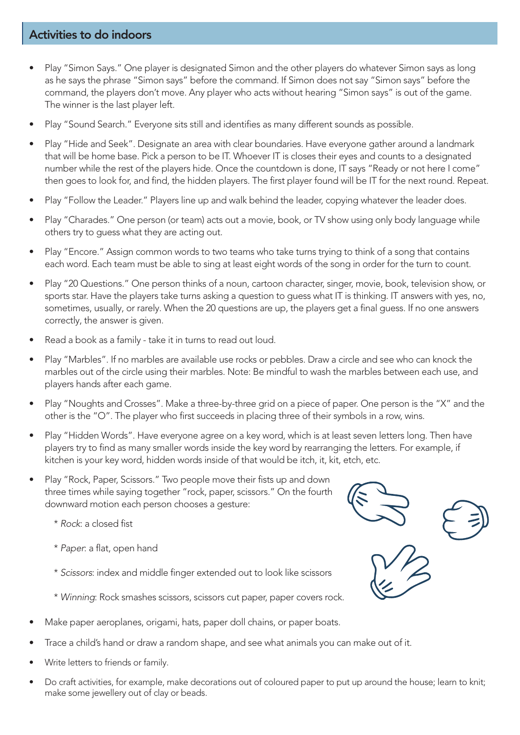#### Activities to do indoors

- Play "Simon Says." One player is designated Simon and the other players do whatever Simon says as long as he says the phrase "Simon says" before the command. If Simon does not say "Simon says" before the command, the players don't move. Any player who acts without hearing "Simon says" is out of the game. The winner is the last player left.
- Play "Sound Search." Everyone sits still and identifies as many different sounds as possible.
- Play "Hide and Seek". Designate an area with clear boundaries. Have everyone gather around a landmark that will be home base. Pick a person to be IT. Whoever IT is closes their eyes and counts to a designated number while the rest of the players hide. Once the countdown is done, IT says "Ready or not here I come" then goes to look for, and find, the hidden players. The first player found will be IT for the next round. Repeat.
- Play "Follow the Leader." Players line up and walk behind the leader, copying whatever the leader does.
- Play "Charades." One person (or team) acts out a movie, book, or TV show using only body language while others try to guess what they are acting out.
- Play "Encore." Assign common words to two teams who take turns trying to think of a song that contains each word. Each team must be able to sing at least eight words of the song in order for the turn to count.
- Play "20 Questions." One person thinks of a noun, cartoon character, singer, movie, book, television show, or sports star. Have the players take turns asking a question to guess what IT is thinking. IT answers with yes, no, sometimes, usually, or rarely. When the 20 questions are up, the players get a final guess. If no one answers correctly, the answer is given.
- Read a book as a family take it in turns to read out loud.
- Play "Marbles". If no marbles are available use rocks or pebbles. Draw a circle and see who can knock the marbles out of the circle using their marbles. Note: Be mindful to wash the marbles between each use, and players hands after each game.
- Play "Noughts and Crosses". Make a three-by-three grid on a piece of paper. One person is the "X" and the other is the "O". The player who first succeeds in placing three of their symbols in a row, wins.
- Play "Hidden Words". Have everyone agree on a key word, which is at least seven letters long. Then have players try to find as many smaller words inside the key word by rearranging the letters. For example, if kitchen is your key word, hidden words inside of that would be itch, it, kit, etch, etc.
- Play "Rock, Paper, Scissors." Two people move their fists up and down three times while saying together "rock, paper, scissors." On the fourth downward motion each person chooses a gesture:
	- \* *Rock*: a closed fist
	- \* *Paper*: a flat, open hand
	- \* *Scissors*: index and middle finger extended out to look like scissors
	- \* *Winning*: Rock smashes scissors, scissors cut paper, paper covers rock.
- Make paper aeroplanes, origami, hats, paper doll chains, or paper boats.
- Trace a child's hand or draw a random shape, and see what animals you can make out of it.
- Write letters to friends or family.
- Do craft activities, for example, make decorations out of coloured paper to put up around the house; learn to knit; make some jewellery out of clay or beads.



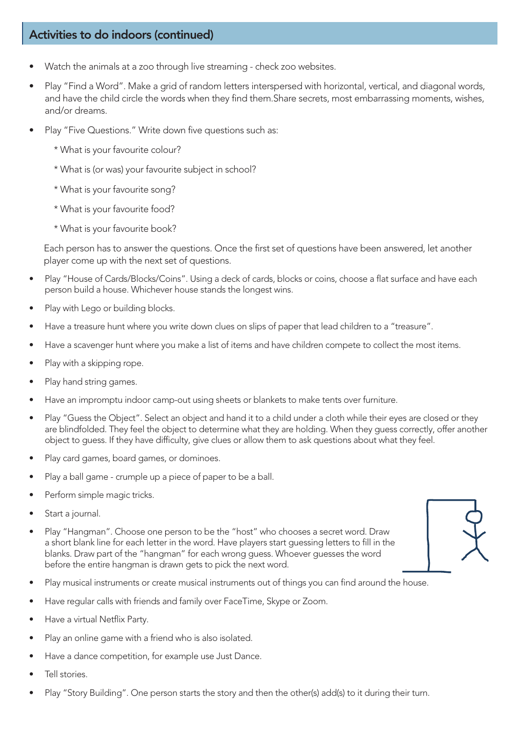#### Activities to do indoors (continued)

- Watch the animals at a zoo through live streaming check zoo websites.
- Play "Find a Word". Make a grid of random letters interspersed with horizontal, vertical, and diagonal words, and have the child circle the words when they find them.Share secrets, most embarrassing moments, wishes, and/or dreams.
- Play "Five Questions." Write down five questions such as:
	- \* What is your favourite colour?
	- \* What is (or was) your favourite subject in school?
	- \* What is your favourite song?
	- \* What is your favourite food?
	- \* What is your favourite book?

Each person has to answer the questions. Once the first set of questions have been answered, let another player come up with the next set of questions.

- Play "House of Cards/Blocks/Coins". Using a deck of cards, blocks or coins, choose a flat surface and have each person build a house. Whichever house stands the longest wins.
- Play with Lego or building blocks.
- Have a treasure hunt where you write down clues on slips of paper that lead children to a "treasure".
- Have a scavenger hunt where you make a list of items and have children compete to collect the most items.
- Play with a skipping rope.
- Play hand string games.
- Have an impromptu indoor camp-out using sheets or blankets to make tents over furniture.
- Play "Guess the Object". Select an object and hand it to a child under a cloth while their eyes are closed or they are blindfolded. They feel the object to determine what they are holding. When they guess correctly, offer another object to guess. If they have difficulty, give clues or allow them to ask questions about what they feel.
- Play card games, board games, or dominoes.
- Play a ball game crumple up a piece of paper to be a ball.
- Perform simple magic tricks.
- Start a journal.
- Play "Hangman". Choose one person to be the "host" who chooses a secret word. Draw a short blank line for each letter in the word. Have players start guessing letters to fill in the blanks. Draw part of the "hangman" for each wrong guess. Whoever guesses the word before the entire hangman is drawn gets to pick the next word.



- Play musical instruments or create musical instruments out of things you can find around the house.
- Have regular calls with friends and family over FaceTime, Skype or Zoom.
- Have a virtual Netflix Party.
- Play an online game with a friend who is also isolated.
- Have a dance competition, for example use Just Dance.
- Tell stories.
- Play "Story Building". One person starts the story and then the other(s) add(s) to it during their turn.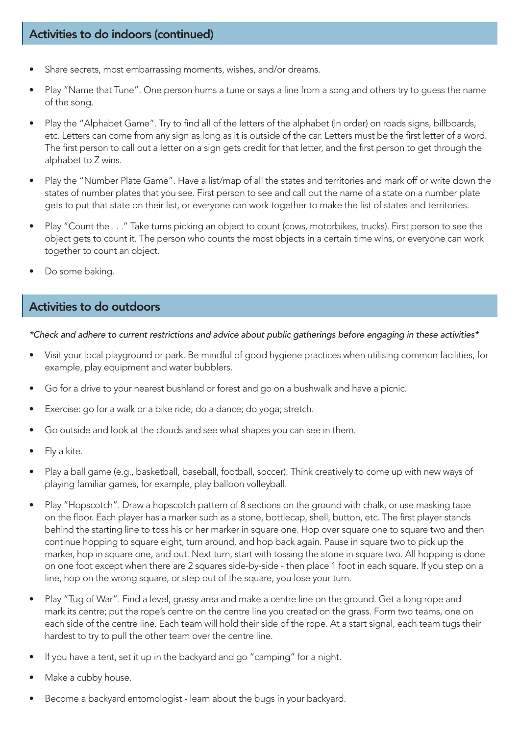#### Activities to do indoors (continued)

- Share secrets, most embarrassing moments, wishes, and/or dreams.
- Play "Name that Tune". One person hums a tune or says a line from a song and others try to guess the name of the song.
- Play the "Alphabet Game". Try to find all of the letters of the alphabet (in order) on roads signs, billboards, etc. Letters can come from any sign as long as it is outside of the car. Letters must be the first letter of a word. The first person to call out a letter on a sign gets credit for that letter, and the first person to get through the alphabet to Z wins.
- Play the "Number Plate Game". Have a list/map of all the states and territories and mark off or write down the states of number plates that you see. First person to see and call out the name of a state on a number plate gets to put that state on their list, or everyone can work together to make the list of states and territories.
- Play "Count the . . ." Take turns picking an object to count (cows, motorbikes, trucks). First person to see the object gets to count it. The person who counts the most objects in a certain time wins, or everyone can work together to count an object.
- Do some baking.

#### Activities to do outdoors

*\*Check and adhere to current restrictions and advice about public gatherings before engaging in these activities\**

- Visit your local playground or park. Be mindful of good hygiene practices when utilising common facilities, for example, play equipment and water bubblers.
- Go for a drive to your nearest bushland or forest and go on a bushwalk and have a picnic.
- Exercise: go for a walk or a bike ride; do a dance; do yoga; stretch.
- Go outside and look at the clouds and see what shapes you can see in them.
- Fly a kite.
- Play a ball game (e.g., basketball, baseball, football, soccer). Think creatively to come up with new ways of playing familiar games, for example, play balloon volleyball.
- Play "Hopscotch". Draw a hopscotch pattern of 8 sections on the ground with chalk, or use masking tape on the floor. Each player has a marker such as a stone, bottlecap, shell, button, etc. The first player stands behind the starting line to toss his or her marker in square one. Hop over square one to square two and then continue hopping to square eight, turn around, and hop back again. Pause in square two to pick up the marker, hop in square one, and out. Next turn, start with tossing the stone in square two. All hopping is done on one foot except when there are 2 squares side-by-side - then place 1 foot in each square. If you step on a line, hop on the wrong square, or step out of the square, you lose your turn.
- Play "Tug of War". Find a level, grassy area and make a centre line on the ground. Get a long rope and mark its centre; put the rope's centre on the centre line you created on the grass. Form two teams, one on each side of the centre line. Each team will hold their side of the rope. At a start signal, each team tugs their hardest to try to pull the other team over the centre line.
- If you have a tent, set it up in the backyard and go "camping" for a night.
- Make a cubby house.
- Become a backyard entomologist learn about the bugs in your backyard.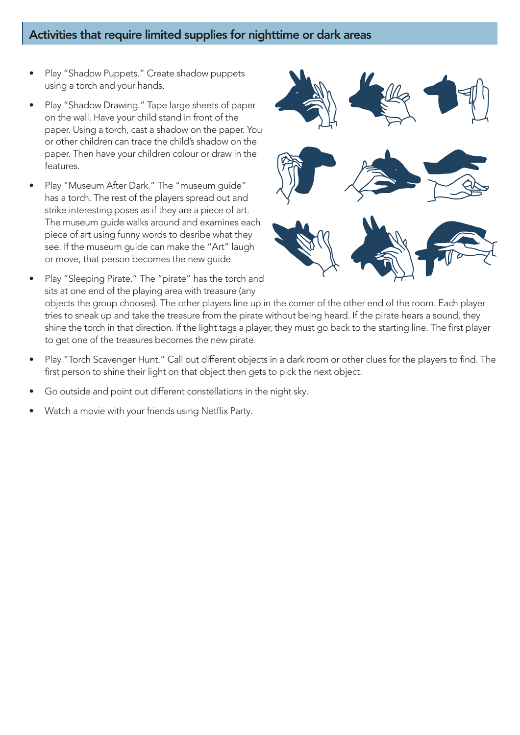#### Activities that require limited supplies for nighttime or dark areas

- Play "Shadow Puppets." Create shadow puppets using a torch and your hands.
- Play "Shadow Drawing." Tape large sheets of paper on the wall. Have your child stand in front of the paper. Using a torch, cast a shadow on the paper. You or other children can trace the child's shadow on the paper. Then have your children colour or draw in the features.
- Play "Museum After Dark." The "museum guide" has a torch. The rest of the players spread out and strike interesting poses as if they are a piece of art. The museum guide walks around and examines each piece of art using funny words to desribe what they see. If the museum guide can make the "Art" laugh or move, that person becomes the new guide.
	- Play "Sleeping Pirate." The "pirate" has the torch and sits at one end of the playing area with treasure (any objects the group chooses). The other players line up in the corner of the other end of the room. Each player tries to sneak up and take the treasure from the pirate without being heard. If the pirate hears a sound, they shine the torch in that direction. If the light tags a player, they must go back to the starting line. The first player
- 

- Play "Torch Scavenger Hunt." Call out different objects in a dark room or other clues for the players to find. The first person to shine their light on that object then gets to pick the next object.
- Go outside and point out different constellations in the night sky.
- Watch a movie with your friends using Netflix Party.

to get one of the treasures becomes the new pirate.